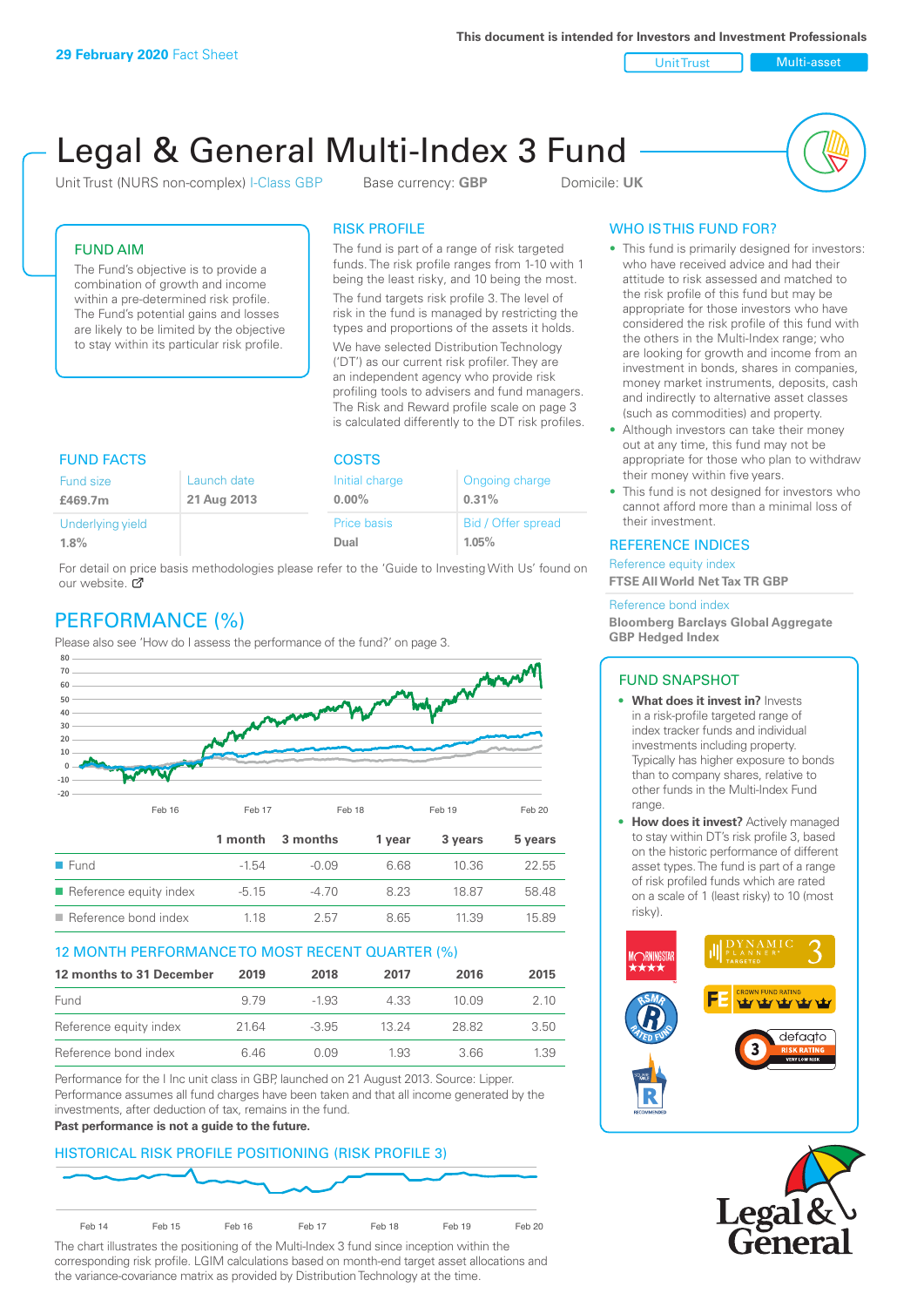Unit Trust Nulti-asset

# Legal & General Multi-Index 3 Fund

Unit Trust (NURS non-complex) I-Class GBP Base currency: **GBP** Domicile: UK



# FUND AIM

The Fund's objective is to provide a combination of growth and income within a pre-determined risk profile. The Fund's potential gains and losses are likely to be limited by the objective to stay within its particular risk profile.

# RISK PROFILE

The fund is part of a range of risk targeted funds. The risk profile ranges from 1-10 with 1 being the least risky, and 10 being the most.

The fund targets risk profile 3. The level of risk in the fund is managed by restricting the types and proportions of the assets it holds. We have selected Distribution Technology ('DT') as our current risk profiler. They are an independent agency who provide risk profiling tools to advisers and fund managers. The Risk and Reward profile scale on page 3 is calculated differently to the DT risk profiles.

| <b>FUND FACTS</b> |             | <b>COSTS</b>   |                    |  |
|-------------------|-------------|----------------|--------------------|--|
| Fund size         | Launch date | Initial charge | Ongoing charge     |  |
| £469.7m           | 21 Aug 2013 | $0.00\%$       | 0.31%              |  |
| Underlying yield  |             | Price basis    | Bid / Offer spread |  |
| 1.8%              |             | Dual           | 1.05%              |  |

For detail on price basis methodologies please refer to the 'Guide to Investing With Us' found on our website. Ø

# PERFORMANCE (%)

Please also see 'How do I assess the performance of the fund?' on page 3.



# 12 MONTH PERFORMANCE TO MOST RECENT QUARTER (%)

| 12 months to 31 December | 2019 | 2018    | 2017  | 2016   | 2015 |
|--------------------------|------|---------|-------|--------|------|
| Fund                     | 9.79 | -1.93   | 4.33  | 10 Q.9 | 2.10 |
| Reference equity index   | 2164 | $-3.95$ | 13 24 | 28.82  | 3.50 |
| Reference bond index     | 6 46 | N N9    | 1.93  | 3.66   | 1.39 |

Performance for the I Inc unit class in GBP, launched on 21 August 2013. Source: Lipper. Performance assumes all fund charges have been taken and that all income generated by the investments, after deduction of tax, remains in the fund.

#### **Past performance is not a guide to the future.**

# HISTORICAL RISK PROFILE POSITIONING (RISK PROFILE 3)



The chart illustrates the positioning of the Multi-Index 3 fund since inception within the corresponding risk profile. LGIM calculations based on month-end target asset allocations and the variance-covariance matrix as provided by Distribution Technology at the time.

# WHO IS THIS FUND FOR?

- This fund is primarily designed for investors: who have received advice and had their attitude to risk assessed and matched to the risk profile of this fund but may be appropriate for those investors who have considered the risk profile of this fund with the others in the Multi-Index range; who are looking for growth and income from an investment in bonds, shares in companies, money market instruments, deposits, cash and indirectly to alternative asset classes (such as commodities) and property.
- Although investors can take their money out at any time, this fund may not be appropriate for those who plan to withdraw their money within five years.
- This fund is not designed for investors who cannot afford more than a minimal loss of their investment.

# REFERENCE INDICES

Reference equity index **FTSE All World Net Tax TR GBP**

#### Reference bond index

**Bloomberg Barclays Global Aggregate GBP Hedged Index**

# FUND SNAPSHOT

- **• What does it invest in?** Invests in a risk-profile targeted range of index tracker funds and individual investments including property. Typically has higher exposure to bonds than to company shares, relative to other funds in the Multi-Index Fund range.
- **• How does it invest?** Actively managed to stay within DT's risk profile 3, based on the historic performance of different asset types. The fund is part of a range of risk profiled funds which are rated on a scale of 1 (least risky) to 10 (most risky).



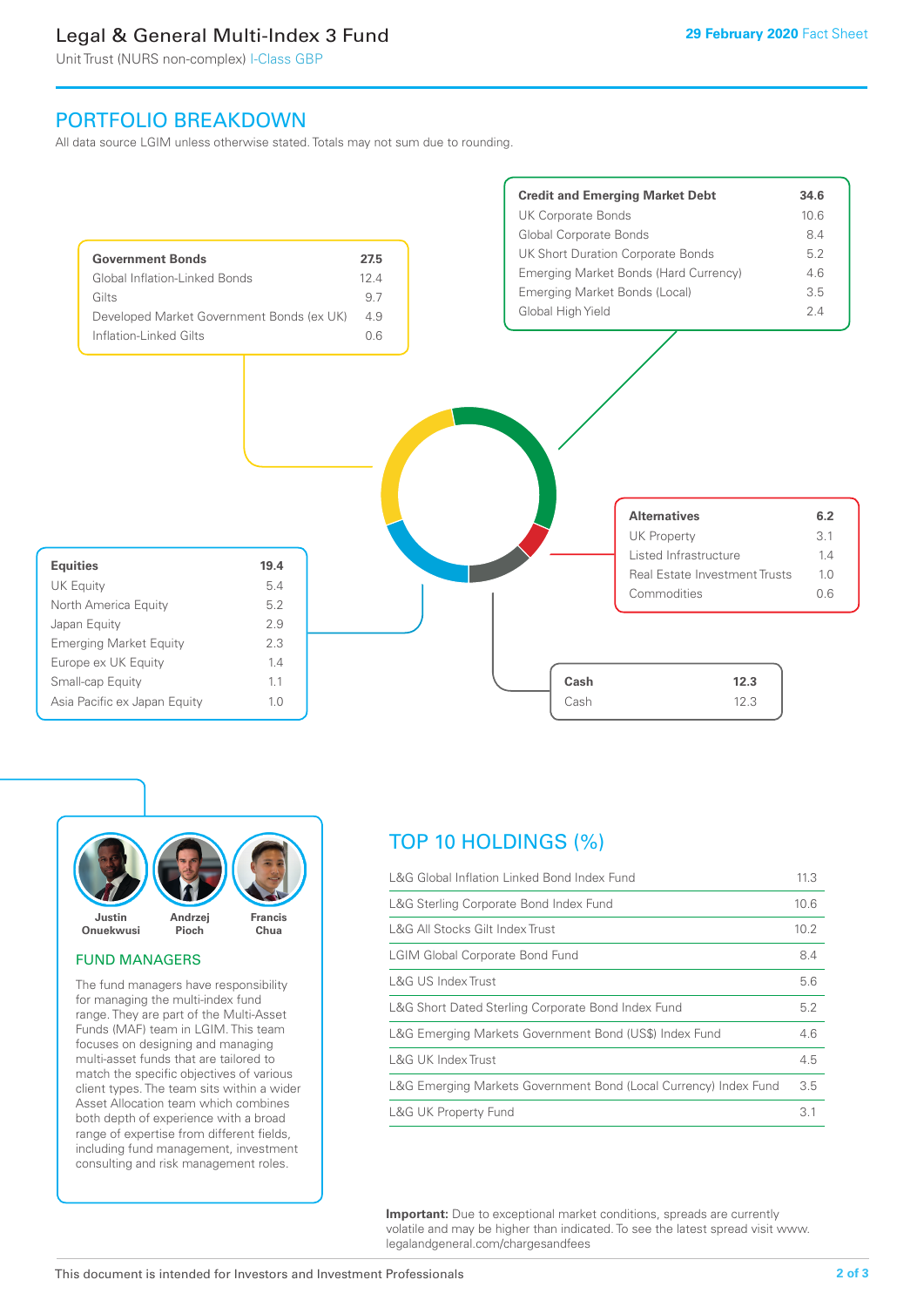# Legal & General Multi-Index 3 Fund

Unit Trust (NURS non-complex) I-Class GBP

# PORTFOLIO BREAKDOWN

All data source LGIM unless otherwise stated. Totals may not sum due to rounding.





#### FUND MANAGERS

The fund managers have responsibility for managing the multi-index fund range. They are part of the Multi-Asset Funds (MAF) team in LGIM. This team focuses on designing and managing multi-asset funds that are tailored to match the specific objectives of various client types. The team sits within a wider Asset Allocation team which combines both depth of experience with a broad range of expertise from different fields, including fund management, investment consulting and risk management roles.

# TOP 10 HOLDINGS (%)

| L&G Global Inflation Linked Bond Index Fund                      | 11.3 |
|------------------------------------------------------------------|------|
| L&G Sterling Corporate Bond Index Fund                           | 10.6 |
| L&G All Stocks Gilt Index Trust                                  | 10.2 |
| <b>LGIM Global Corporate Bond Fund</b>                           | 8.4  |
| L&G US Index Trust                                               | 5.6  |
| L&G Short Dated Sterling Corporate Bond Index Fund               | 5.2  |
| L&G Emerging Markets Government Bond (US\$) Index Fund           | 4.6  |
| <b>L&amp;G UK Index Trust</b>                                    | 4.5  |
| L&G Emerging Markets Government Bond (Local Currency) Index Fund | 3.5  |
| <b>L&amp;G UK Property Fund</b>                                  | 3.1  |

**Important:** Due to exceptional market conditions, spreads are currently volatile and may be higher than indicated. To see the latest spread visit www. legalandgeneral.com/chargesandfees